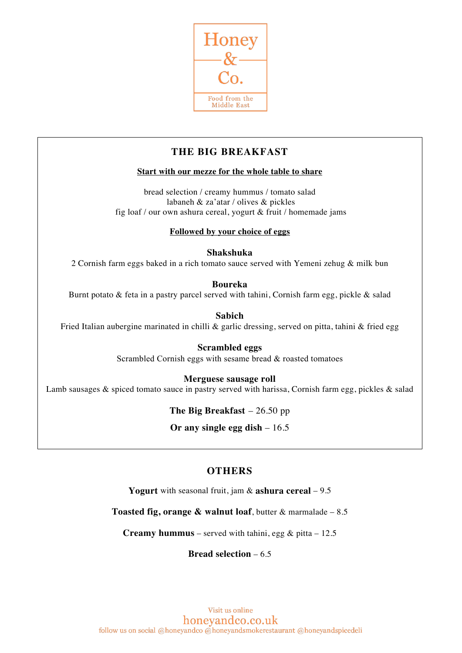

# **THE BIG BREAKFAST**

# **Start with our mezze for the whole table to share**

bread selection / creamy hummus / tomato salad labaneh & za'atar / olives & pickles fig loaf / our own ashura cereal, yogurt & fruit / homemade jams

# **Followed by your choice of eggs**

**Shakshuka**

2 Cornish farm eggs baked in a rich tomato sauce served with Yemeni zehug & milk bun

**Boureka**

Burnt potato & feta in a pastry parcel served with tahini, Cornish farm egg, pickle & salad

**Sabich**

Fried Italian aubergine marinated in chilli & garlic dressing, served on pitta, tahini & fried egg

**Scrambled eggs** Scrambled Cornish eggs with sesame bread & roasted tomatoes

# **Merguese sausage roll**

Lamb sausages & spiced tomato sauce in pastry served with harissa, Cornish farm egg, pickles & salad

**The Big Breakfast** – 26.50 pp

**Or any single egg dish** – 16.5

# **OTHERS**

**Yogurt** with seasonal fruit, jam & **ashura cereal** – 9.5

**Toasted fig, orange & walnut loaf**, butter & marmalade – 8.5

**Creamy hummus** – served with tahini, egg  $\&$  pitta – 12.5

**Bread selection** – 6.5